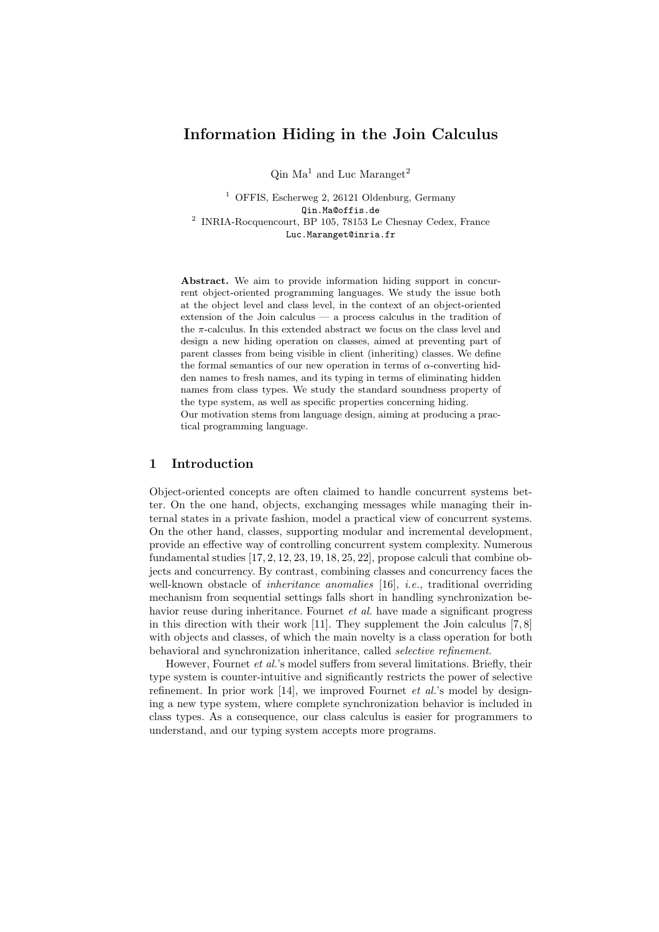# Information Hiding in the Join Calculus

 $\rm{O}$ in Ma<sup>1</sup> and Luc Maranget<sup>2</sup>

<sup>1</sup> OFFIS, Escherweg 2, 26121 Oldenburg, Germany Qin.Ma@offis.de 2 INRIA-Rocquencourt, BP 105, 78153 Le Chesnay Cedex, France Luc.Maranget@inria.fr

Abstract. We aim to provide information hiding support in concurrent object-oriented programming languages. We study the issue both at the object level and class level, in the context of an object-oriented extension of the Join calculus — a process calculus in the tradition of the  $\pi$ -calculus. In this extended abstract we focus on the class level and design a new hiding operation on classes, aimed at preventing part of parent classes from being visible in client (inheriting) classes. We define the formal semantics of our new operation in terms of  $\alpha$ -converting hidden names to fresh names, and its typing in terms of eliminating hidden names from class types. We study the standard soundness property of the type system, as well as specific properties concerning hiding. Our motivation stems from language design, aiming at producing a practical programming language.

# 1 Introduction

Object-oriented concepts are often claimed to handle concurrent systems better. On the one hand, objects, exchanging messages while managing their internal states in a private fashion, model a practical view of concurrent systems. On the other hand, classes, supporting modular and incremental development, provide an effective way of controlling concurrent system complexity. Numerous fundamental studies [17, 2, 12, 23, 19, 18, 25, 22], propose calculi that combine objects and concurrency. By contrast, combining classes and concurrency faces the well-known obstacle of *inheritance anomalies* [16], *i.e.*, traditional overriding mechanism from sequential settings falls short in handling synchronization behavior reuse during inheritance. Fournet *et al.* have made a significant progress in this direction with their work [11]. They supplement the Join calculus [7, 8] with objects and classes, of which the main novelty is a class operation for both behavioral and synchronization inheritance, called selective refinement.

However, Fournet *et al.*'s model suffers from several limitations. Briefly, their type system is counter-intuitive and significantly restricts the power of selective refinement. In prior work  $[14]$ , we improved Fournet et al.'s model by designing a new type system, where complete synchronization behavior is included in class types. As a consequence, our class calculus is easier for programmers to understand, and our typing system accepts more programs.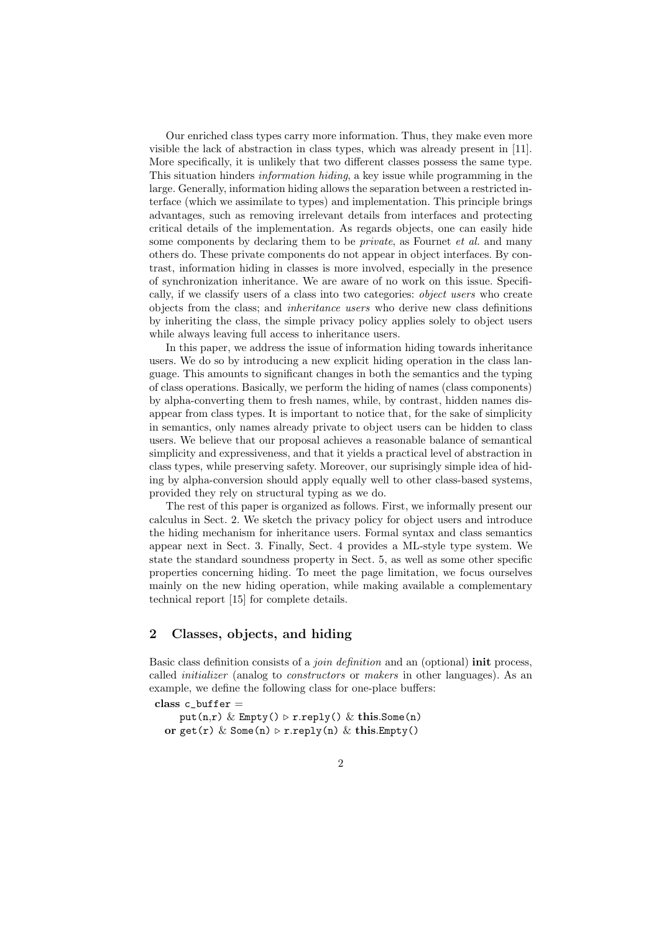Our enriched class types carry more information. Thus, they make even more visible the lack of abstraction in class types, which was already present in [11]. More specifically, it is unlikely that two different classes possess the same type. This situation hinders information hiding, a key issue while programming in the large. Generally, information hiding allows the separation between a restricted interface (which we assimilate to types) and implementation. This principle brings advantages, such as removing irrelevant details from interfaces and protecting critical details of the implementation. As regards objects, one can easily hide some components by declaring them to be *private*, as Fournet *et al.* and many others do. These private components do not appear in object interfaces. By contrast, information hiding in classes is more involved, especially in the presence of synchronization inheritance. We are aware of no work on this issue. Specifically, if we classify users of a class into two categories: object users who create objects from the class; and inheritance users who derive new class definitions by inheriting the class, the simple privacy policy applies solely to object users while always leaving full access to inheritance users.

In this paper, we address the issue of information hiding towards inheritance users. We do so by introducing a new explicit hiding operation in the class language. This amounts to significant changes in both the semantics and the typing of class operations. Basically, we perform the hiding of names (class components) by alpha-converting them to fresh names, while, by contrast, hidden names disappear from class types. It is important to notice that, for the sake of simplicity in semantics, only names already private to object users can be hidden to class users. We believe that our proposal achieves a reasonable balance of semantical simplicity and expressiveness, and that it yields a practical level of abstraction in class types, while preserving safety. Moreover, our suprisingly simple idea of hiding by alpha-conversion should apply equally well to other class-based systems, provided they rely on structural typing as we do.

The rest of this paper is organized as follows. First, we informally present our calculus in Sect. 2. We sketch the privacy policy for object users and introduce the hiding mechanism for inheritance users. Formal syntax and class semantics appear next in Sect. 3. Finally, Sect. 4 provides a ML-style type system. We state the standard soundness property in Sect. 5, as well as some other specific properties concerning hiding. To meet the page limitation, we focus ourselves mainly on the new hiding operation, while making available a complementary technical report [15] for complete details.

# 2 Classes, objects, and hiding

Basic class definition consists of a *join definition* and an (optional) **init** process, called initializer (analog to constructors or makers in other languages). As an example, we define the following class for one-place buffers:

class c buffer  $=$ 

put(n,r) & Empty()  $\triangleright$  r.reply() & this.Some(n) or get(r) & Some(n)  $\triangleright$  r.reply(n) & this. Empty()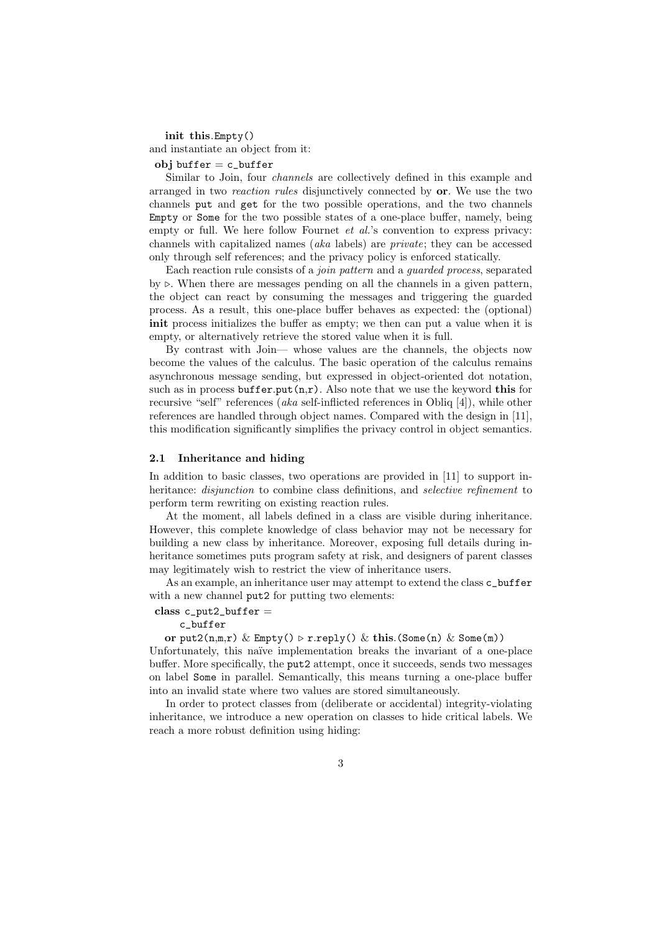init this.Empty() and instantiate an object from it: obj buffer  $= c$  buffer

Similar to Join, four channels are collectively defined in this example and arranged in two reaction rules disjunctively connected by or. We use the two channels put and get for the two possible operations, and the two channels Empty or Some for the two possible states of a one-place buffer, namely, being empty or full. We here follow Fournet et al.'s convention to express privacy: channels with capitalized names (aka labels) are private; they can be accessed only through self references; and the privacy policy is enforced statically.

Each reaction rule consists of a join pattern and a guarded process, separated by  $\triangleright$ . When there are messages pending on all the channels in a given pattern, the object can react by consuming the messages and triggering the guarded process. As a result, this one-place buffer behaves as expected: the (optional) init process initializes the buffer as empty; we then can put a value when it is empty, or alternatively retrieve the stored value when it is full.

By contrast with Join— whose values are the channels, the objects now become the values of the calculus. The basic operation of the calculus remains asynchronous message sending, but expressed in object-oriented dot notation, such as in process buffer.put $(n,r)$ . Also note that we use the keyword this for recursive "self" references (aka self-inflicted references in Obliq [4]), while other references are handled through object names. Compared with the design in [11], this modification significantly simplifies the privacy control in object semantics.

#### 2.1 Inheritance and hiding

In addition to basic classes, two operations are provided in [11] to support inheritance: *disjunction* to combine class definitions, and *selective refinement* to perform term rewriting on existing reaction rules.

At the moment, all labels defined in a class are visible during inheritance. However, this complete knowledge of class behavior may not be necessary for building a new class by inheritance. Moreover, exposing full details during inheritance sometimes puts program safety at risk, and designers of parent classes may legitimately wish to restrict the view of inheritance users.

As an example, an inheritance user may attempt to extend the class c\_buffer with a new channel put2 for putting two elements:

### $class c_put2_buffer =$

#### c\_buffer

or put2(n,m,r) & Empty()  $\triangleright$  r.reply() & this.(Some(n) & Some(m))

Unfortunately, this naïve implementation breaks the invariant of a one-place buffer. More specifically, the put2 attempt, once it succeeds, sends two messages on label Some in parallel. Semantically, this means turning a one-place buffer into an invalid state where two values are stored simultaneously.

In order to protect classes from (deliberate or accidental) integrity-violating inheritance, we introduce a new operation on classes to hide critical labels. We reach a more robust definition using hiding: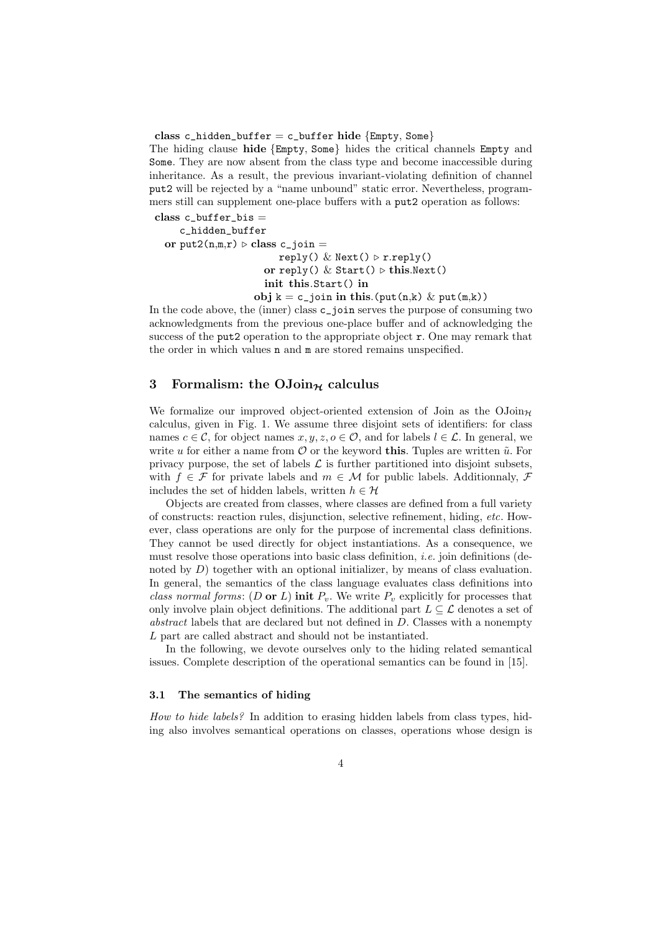class c\_hidden\_buffer = c\_buffer hide  ${Empty, Some}$ 

The hiding clause hide {Empty, Some} hides the critical channels Empty and Some. They are now absent from the class type and become inaccessible during inheritance. As a result, the previous invariant-violating definition of channel put2 will be rejected by a "name unbound" static error. Nevertheless, programmers still can supplement one-place buffers with a put2 operation as follows:

class  $c$ \_buffer\_bis = c\_hidden\_buffer or put2( $n,m,r$ )  $\triangleright$  class c\_join = reply() & Next()  $\triangleright$  r.reply() or reply()  $\&$  Start()  $\triangleright$  this.Next() init this.Start() in obj  $k = c$ -join in this.(put(n,k) & put(m,k))

In the code above, the (inner) class c\_join serves the purpose of consuming two acknowledgments from the previous one-place buffer and of acknowledging the success of the put2 operation to the appropriate object  $r$ . One may remark that the order in which values n and m are stored remains unspecified.

### 3 Formalism: the  $\text{OJoin}_{\mathcal{H}}$  calculus

We formalize our improved object-oriented extension of Join as the  $\mathrm{OJoin}_{\mathcal{H}}$ calculus, given in Fig. 1. We assume three disjoint sets of identifiers: for class names  $c \in \mathcal{C}$ , for object names  $x, y, z, o \in \mathcal{O}$ , and for labels  $l \in \mathcal{L}$ . In general, we write u for either a name from  $\mathcal O$  or the keyword this. Tuples are written  $\tilde u$ . For privacy purpose, the set of labels  $\mathcal L$  is further partitioned into disjoint subsets, with  $f \in \mathcal{F}$  for private labels and  $m \in \mathcal{M}$  for public labels. Additionnaly,  $\mathcal{F}$ includes the set of hidden labels, written  $h \in \mathcal{H}$ 

Objects are created from classes, where classes are defined from a full variety of constructs: reaction rules, disjunction, selective refinement, hiding, etc. However, class operations are only for the purpose of incremental class definitions. They cannot be used directly for object instantiations. As a consequence, we must resolve those operations into basic class definition, i.e. join definitions (denoted by  $D$ ) together with an optional initializer, by means of class evaluation. In general, the semantics of the class language evaluates class definitions into class normal forms: (D or L) init  $P_v$ . We write  $P_v$  explicitly for processes that only involve plain object definitions. The additional part  $L \subseteq \mathcal{L}$  denotes a set of abstract labels that are declared but not defined in  $D$ . Classes with a nonempty L part are called abstract and should not be instantiated.

In the following, we devote ourselves only to the hiding related semantical issues. Complete description of the operational semantics can be found in [15].

### 3.1 The semantics of hiding

How to hide labels? In addition to erasing hidden labels from class types, hiding also involves semantical operations on classes, operations whose design is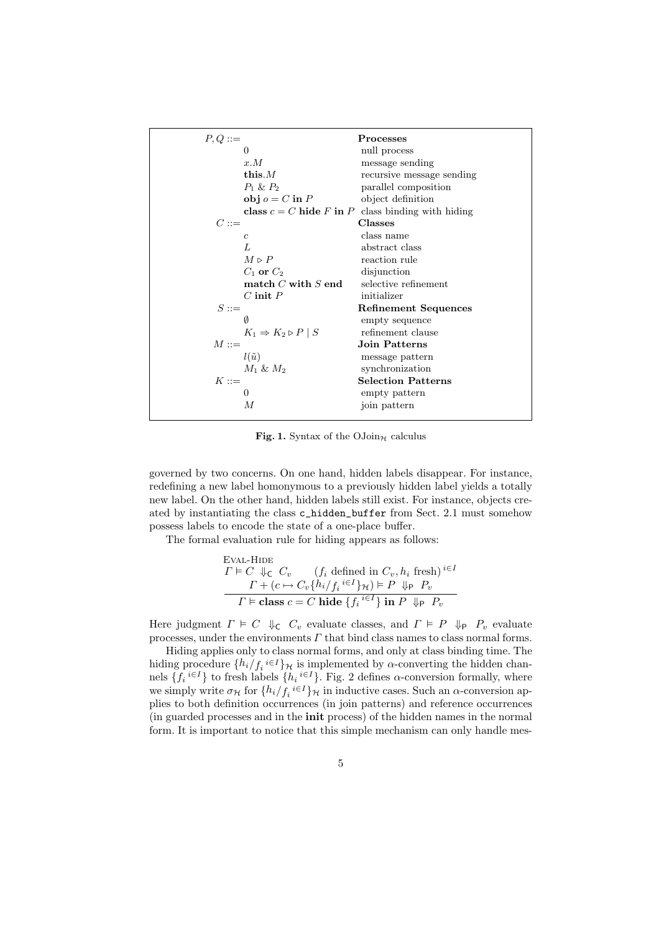| $P,Q ::=$                                     | <b>Processes</b>                                    |
|-----------------------------------------------|-----------------------------------------------------|
| $\Omega$                                      | null process                                        |
| x.M                                           | message sending                                     |
| this. $M$                                     | recursive message sending                           |
| $P_1 \& P_2$                                  | parallel composition                                |
| $obj o = C$ in P                              | object definition                                   |
|                                               | class $c = C$ hide F in P class binding with hiding |
| $C ::=$                                       | <b>Classes</b>                                      |
| $\overline{c}$                                | class name                                          |
| L                                             | abstract class                                      |
| $M\vartriangleright P$                        | reaction rule                                       |
| $C_1$ or $C_2$                                | disjunction                                         |
| match $C$ with $S$ end                        | selective refinement                                |
| $C$ init $P$                                  | initializer                                         |
| $S ::=$                                       | <b>Refinement Sequences</b>                         |
| Ø                                             | empty sequence                                      |
| $K_1 \Rightarrow K_2 \triangleright P \mid S$ | refinement clause                                   |
| $M ::=$                                       | Join Patterns                                       |
| $l(\tilde{u})$                                | message pattern                                     |
| $M_1 \& M_2$                                  | synchronization                                     |
| $K ::=$                                       | <b>Selection Patterns</b>                           |
| $\theta$                                      | empty pattern                                       |
| М                                             | join pattern                                        |
|                                               |                                                     |

Fig. 1. Syntax of the  $\text{OJoin}_{\mathcal{H}}$  calculus

governed by two concerns. On one hand, hidden labels disappear. For instance, redefining a new label homonymous to a previously hidden label yields a totally new label. On the other hand, hidden labels still exist. For instance, objects created by instantiating the class c\_hidden\_buffer from Sect. 2.1 must somehow possess labels to encode the state of a one-place buffer.

The formal evaluation rule for hiding appears as follows:

EVAL-HIDE

\n
$$
\Gamma \models C \Downarrow_{\mathsf{C}} C_v \quad (f_i \text{ defined in } C_v, h_i \text{ fresh})^{i \in I}
$$
\n
$$
\Gamma + (c \mapsto C_v \{h_i / f_i \in I\} \mathcal{H}) \models P \Downarrow_{\mathsf{P}} P_v
$$
\n
$$
\Gamma \models \text{class } c = C \text{ hide } \{f_i \in I\} \text{ in } P \Downarrow_{\mathsf{P}} P_v
$$

Here judgment  $\Gamma \models C \Downarrow_{\mathsf{C}} C_v$  evaluate classes, and  $\Gamma \models P \Downarrow_{\mathsf{P}} P_v$  evaluate processes, under the environments  $\Gamma$  that bind class names to class normal forms.

Hiding applies only to class normal forms, and only at class binding time. The hiding procedure  $\{h_i/f_i\in I\}$ <sub>H</sub> is implemented by  $\alpha$ -converting the hidden channels  $\{f_i^{i\in I}\}\$ to fresh labels  $\{h_i^{i\in I}\}\$ . Fig. 2 defines  $\alpha$ -conversion formally, where we simply write  $\sigma_{\mathcal{H}}$  for  $\{h_i/f_i \in I\}_{\mathcal{H}}$  in inductive cases. Such an  $\alpha$ -conversion applies to both definition occurrences (in join patterns) and reference occurrences (in guarded processes and in the init process) of the hidden names in the normal form. It is important to notice that this simple mechanism can only handle mes-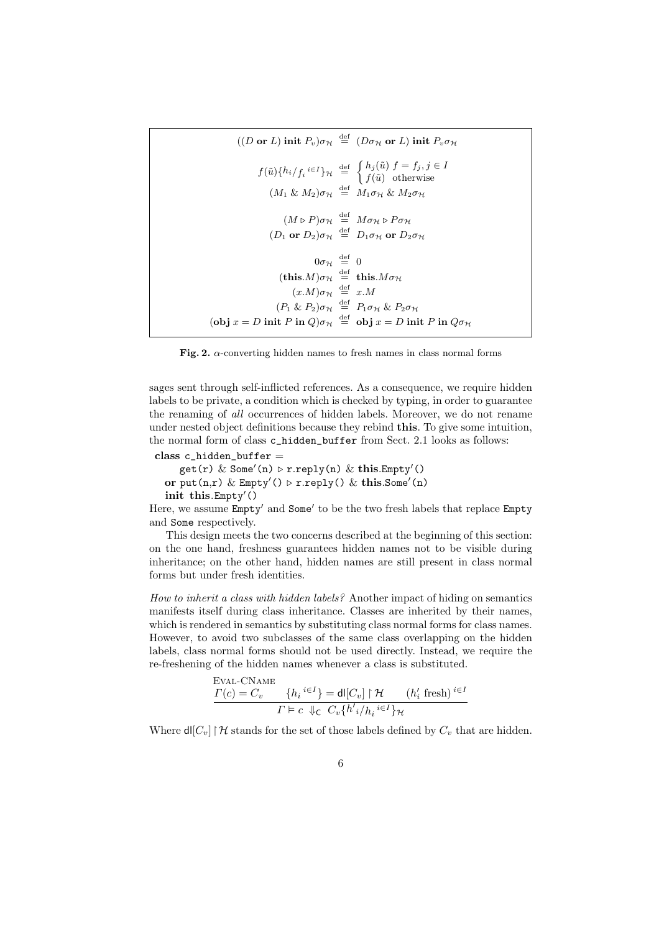```
((D \text{ or } L) \text{ init } P_v)\sigma_{\mathcal{H}} \stackrel{\text{def}}{=} (D\sigma_{\mathcal{H}} \text{ or } L) \text{ init } P_v\sigma_{\mathcal{H}}f(\tilde{u})\{h_i/f_i\in I\}\mathcal{H} \stackrel{\text{def}}{=} \begin{cases} h_j(\tilde{u}) f = f_j, j \in I \\ f(\tilde{u}) \text{ otherwise} \end{cases}f(\tilde{u}) otherwise
                                        (M_1 \& M_2)\sigma_{\mathcal{H}} \stackrel{\text{def}}{=} M_1 \sigma_{\mathcal{H}} \& M_2 \sigma_{\mathcal{H}}(M \triangleright P)\sigma_{\mathcal{H}} \stackrel{\text{def}}{=} M\sigma_{\mathcal{H}} \triangleright P\sigma_{\mathcal{H}}(D_1 \text{ or } D_2)\sigma_{\mathcal{H}} \stackrel{\text{def}}{=} D_1\sigma_{\mathcal{H}} \text{ or } D_2\sigma_{\mathcal{H}}0\sigma_{\mathcal{H}} \stackrel{\text{def}}{=} 0(\textbf{this}.M)\sigma_{\mathcal{H}} \stackrel{\text{def}}{=} \textbf{this}.M\sigma_{\mathcal{H}}(x.M)\sigma_{\mathcal{H}} \stackrel{\text{def}}{=} x.M(P_1 \& P_2)\sigma_{\mathcal{H}} \stackrel{\text{def}}{=} P_1 \sigma_{\mathcal{H}} \& P_2 \sigma_{\mathcal{H}}(obj x = D init P in Q)\sigma_{\mathcal{H}} \stackrel{\text{def}}{=} obj x = D init P in Q \sigma_{\mathcal{H}}
```
Fig. 2.  $\alpha$ -converting hidden names to fresh names in class normal forms

sages sent through self-inflicted references. As a consequence, we require hidden labels to be private, a condition which is checked by typing, in order to guarantee the renaming of all occurrences of hidden labels. Moreover, we do not rename under nested object definitions because they rebind this. To give some intuition, the normal form of class c\_hidden\_buffer from Sect. 2.1 looks as follows:

```
class c_hidden_buffer =
   get(r) & Some'(n) \triangleright r.reply(n) & this. Empty'()
or put(n,r) & Empty() \triangleright r.reply() & this.Some(n)
init this. Empty()
```
 $E = \Omega$ 

Here, we assume Empty' and Some' to be the two fresh labels that replace Empty and Some respectively.

This design meets the two concerns described at the beginning of this section: on the one hand, freshness guarantees hidden names not to be visible during inheritance; on the other hand, hidden names are still present in class normal forms but under fresh identities.

How to inherit a class with hidden labels? Another impact of hiding on semantics manifests itself during class inheritance. Classes are inherited by their names, which is rendered in semantics by substituting class normal forms for class names. However, to avoid two subclasses of the same class overlapping on the hidden labels, class normal forms should not be used directly. Instead, we require the re-freshening of the hidden names whenever a class is substituted.

$$
\frac{\Gamma(c) = C_v}{\Gamma(c)} = \frac{\{h_i^{i \in I}\}}{\Gamma(c)} = \frac{\mathsf{d}[(C_v] \upharpoonright \mathcal{H} \quad (h'_i \text{ fresh})^{i \in I}\}}{\Gamma(c \downarrow_C C_v \{h'_i / h_i^{i \in I}\}) \mathcal{H}}
$$

Where  $\text{d}([C_v] \restriction \mathcal{H}$  stands for the set of those labels defined by  $C_v$  that are hidden.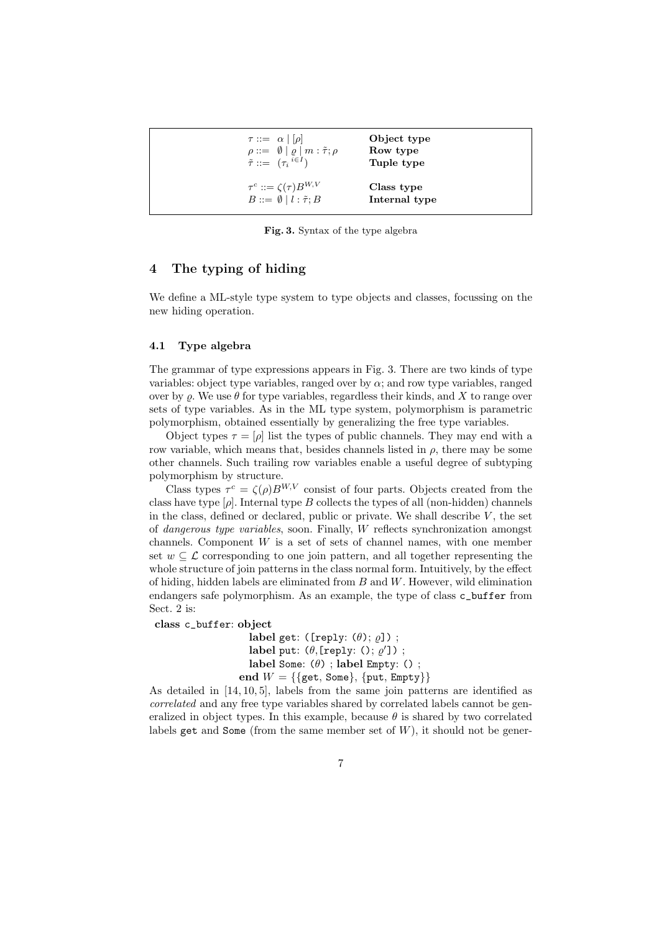| $\tau ::= \alpha   \rho  $<br>$\rho ::= \emptyset   \varrho   m : \tilde{\tau}; \rho$<br>$\tilde{\tau} ::= (\tau_i^{i \in I})$ | Object type<br>Row type<br>Tuple type |
|--------------------------------------------------------------------------------------------------------------------------------|---------------------------------------|
| $\tau^c ::= \zeta(\tau) B^{W,V}$<br>$B ::= \emptyset   l : \tilde{\tau}; B$                                                    | Class type<br>Internal type           |

Fig. 3. Syntax of the type algebra

### 4 The typing of hiding

We define a ML-style type system to type objects and classes, focussing on the new hiding operation.

#### 4.1 Type algebra

The grammar of type expressions appears in Fig. 3. There are two kinds of type variables: object type variables, ranged over by  $\alpha$ ; and row type variables, ranged over by  $\varrho$ . We use  $\theta$  for type variables, regardless their kinds, and X to range over sets of type variables. As in the ML type system, polymorphism is parametric polymorphism, obtained essentially by generalizing the free type variables.

Object types  $\tau = [\rho]$  list the types of public channels. They may end with a row variable, which means that, besides channels listed in  $\rho$ , there may be some other channels. Such trailing row variables enable a useful degree of subtyping polymorphism by structure.

Class types  $\tau^c = \zeta(\rho)B^{W,V}$  consist of four parts. Objects created from the class have type  $[\rho]$ . Internal type B collects the types of all (non-hidden) channels in the class, defined or declared, public or private. We shall describe  $V$ , the set of dangerous type variables, soon. Finally, W reflects synchronization amongst channels. Component  $W$  is a set of sets of channel names, with one member set  $w \subseteq \mathcal{L}$  corresponding to one join pattern, and all together representing the whole structure of join patterns in the class normal form. Intuitively, by the effect of hiding, hidden labels are eliminated from  $B$  and  $W$ . However, wild elimination endangers safe polymorphism. As an example, the type of class c\_buffer from Sect. 2 is:

class c\_buffer: object

label get: ([reply:  $(\theta)$ ;  $\rho$ ]); label put:  $(\theta, \text{[reply: } (), \varrho'])$ ; label Some:  $(\theta)$ ; label Empty: (); end  $W = \{\{\text{get}, \text{Some}\}, \{\text{put}, \text{Empty}\}\}\$ 

As detailed in [14, 10, 5], labels from the same join patterns are identified as correlated and any free type variables shared by correlated labels cannot be generalized in object types. In this example, because  $\theta$  is shared by two correlated labels get and Some (from the same member set of  $W$ ), it should not be gener-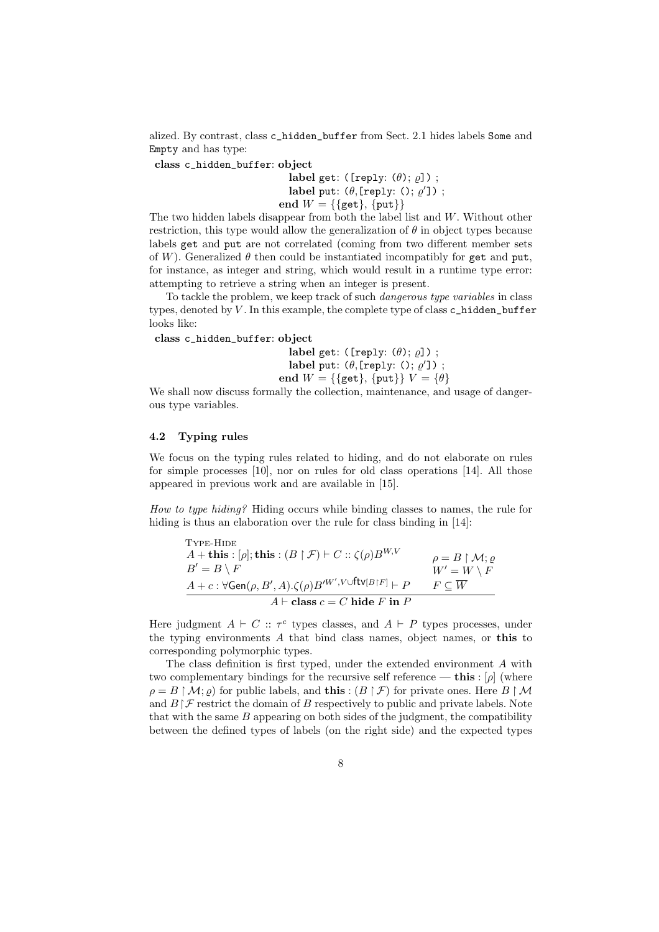alized. By contrast, class c\_hidden\_buffer from Sect. 2.1 hides labels Some and Empty and has type:

class c\_hidden\_buffer: object

label get: ([reply:  $(\theta)$ ;  $\rho$ ]); label put:  $(\theta, \text{[reply: } (), \varrho'])$ ; end  $W = \{\{\text{get}\}, \{\text{put}\}\}\$ 

The two hidden labels disappear from both the label list and W. Without other restriction, this type would allow the generalization of  $\theta$  in object types because labels get and put are not correlated (coming from two different member sets of W). Generalized  $\theta$  then could be instantiated incompatibly for get and put, for instance, as integer and string, which would result in a runtime type error: attempting to retrieve a string when an integer is present.

To tackle the problem, we keep track of such dangerous type variables in class types, denoted by  $V$ . In this example, the complete type of class  $c$  hidden buffer looks like:

class c\_hidden\_buffer: object

label get: ([reply:  $(\theta)$ ;  $\varrho$ ]); label put:  $(\theta, \text{[reply: } (), \varrho'])$ ; end  $W = \{\{\text{get}\}\}\$   $V = \{\theta\}$ 

We shall now discuss formally the collection, maintenance, and usage of dangerous type variables.

#### 4.2 Typing rules

We focus on the typing rules related to hiding, and do not elaborate on rules for simple processes [10], nor on rules for old class operations [14]. All those appeared in previous work and are available in [15].

How to type hiding? Hiding occurs while binding classes to names, the rule for hiding is thus an elaboration over the rule for class binding in [14]:

| TYPE-HIDE                                                                                                         |                                              |
|-------------------------------------------------------------------------------------------------------------------|----------------------------------------------|
| A + this : [ $\rho$ ]; this : $(B \upharpoonright \mathcal{F}) \vdash C :: \zeta(\rho) B^{W,V}$                   | $\rho = B \upharpoonright \mathcal{M}; \rho$ |
| $B'=B\setminus F$                                                                                                 | $W' = W \setminus F$                         |
| $A + c : \forall \mathsf{Gen}(\rho, B', A) . \zeta(\rho) B'^{W', V \cup \mathsf{ftv}[B \restriction F]} \vdash P$ | $F\subset \overline{W}$                      |
| $A \vdash$ class $c = C$ hide F in P                                                                              |                                              |

Here judgment  $A \vdash C :: \tau^c$  types classes, and  $A \vdash P$  types processes, under the typing environments A that bind class names, object names, or this to corresponding polymorphic types.

The class definition is first typed, under the extended environment A with two complementary bindings for the recursive self reference — this :  $[\rho]$  (where  $\rho = B \upharpoonright \mathcal{M}; \rho$  for public labels, and **this** :  $(B \upharpoonright \mathcal{F})$  for private ones. Here  $B \upharpoonright \mathcal{M}$ and  $B \upharpoonright \mathcal{F}$  restrict the domain of B respectively to public and private labels. Note that with the same  $B$  appearing on both sides of the judgment, the compatibility between the defined types of labels (on the right side) and the expected types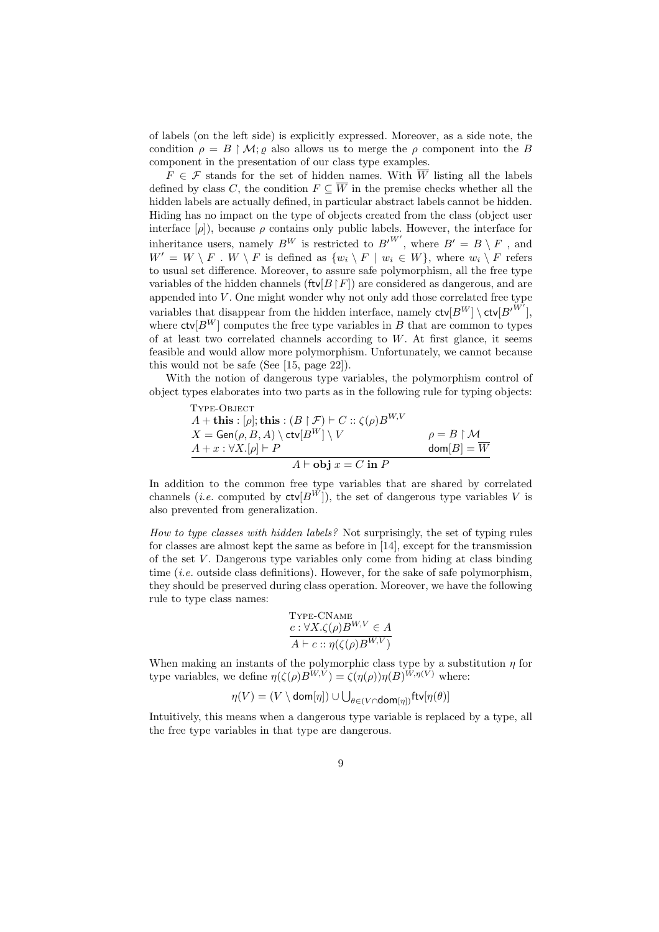of labels (on the left side) is explicitly expressed. Moreover, as a side note, the condition  $\rho = B \restriction \mathcal{M}$ ;  $\rho$  also allows us to merge the  $\rho$  component into the B component in the presentation of our class type examples.

 $F \in \mathcal{F}$  stands for the set of hidden names. With  $\overline{W}$  listing all the labels defined by class C, the condition  $F \subseteq \overline{W}$  in the premise checks whether all the hidden labels are actually defined, in particular abstract labels cannot be hidden. Hiding has no impact on the type of objects created from the class (object user interface  $[\rho]$ ), because  $\rho$  contains only public labels. However, the interface for inheritance users, namely  $B^W$  is restricted to  $B'^{W'}$ , where  $B' = B \setminus F$ , and  $W' = W \setminus F$ .  $W \setminus F$  is defined as  $\{w_i \setminus F \mid w_i \in W\}$ , where  $w_i \setminus F$  refers to usual set difference. Moreover, to assure safe polymorphism, all the free type variables of the hidden channels (ftv[ $B \upharpoonright F$ ]) are considered as dangerous, and are appended into  $V$ . One might wonder why not only add those correlated free type variables that disappear from the hidden interface, namely  $\mathsf{ctv}[B^W] \setminus \mathsf{ctv}[B^{\prime \tilde{W'}}],$ where  $\mathsf{ctv}[B^W]$  computes the free type variables in B that are common to types of at least two correlated channels according to  $W$ . At first glance, it seems feasible and would allow more polymorphism. Unfortunately, we cannot because this would not be safe (See [15, page 22]).

With the notion of dangerous type variables, the polymorphism control of object types elaborates into two parts as in the following rule for typing objects:

Type-OBJECT

\n
$$
A + \mathbf{this} : [\rho]; \mathbf{this} : (B \upharpoonright \mathcal{F}) \vdash C :: \zeta(\rho) B^{W,V}
$$
\n
$$
X = \text{Gen}(\rho, B, A) \setminus \text{ctv}[B^W] \setminus V
$$
\n
$$
A + x : \forall X . [\rho] \vdash P
$$
\n
$$
A \vdash \textbf{obj } x = C \text{ in } P
$$
\nwhere  $\rho$  is the following property:

\n
$$
\rho = B \upharpoonright \mathcal{M}
$$
\n
$$
\text{dom}[B] = \overline{W}
$$

In addition to the common free type variables that are shared by correlated channels (*i.e.* computed by  $\mathsf{ctv}[B^{W}]$ ), the set of dangerous type variables V is also prevented from generalization.

How to type classes with hidden labels? Not surprisingly, the set of typing rules for classes are almost kept the same as before in [14], except for the transmission of the set  $V$ . Dangerous type variables only come from hiding at class binding time (*i.e.* outside class definitions). However, for the sake of safe polymorphism, they should be preserved during class operation. Moreover, we have the following rule to type class names:

$$
\frac{\text{Type-CNAME}}{c: \forall X. \zeta(\rho) B^{W,V} \in A}
$$

$$
A \vdash c :: \eta(\zeta(\rho) B^{W,V})
$$

When making an instants of the polymorphic class type by a substitution  $\eta$  for type variables, we define  $\eta(\zeta(\rho)B^{W,V}) = \zeta(\eta(\rho))\eta(B)^{W,\eta(V)}$  where:

$$
\eta(V) = (V \setminus \mathsf{dom}[\eta]) \cup \bigcup_{\theta \in (V \cap \mathsf{dom}[\eta])} \mathsf{ftv}[\eta(\theta)]
$$

Intuitively, this means when a dangerous type variable is replaced by a type, all the free type variables in that type are dangerous.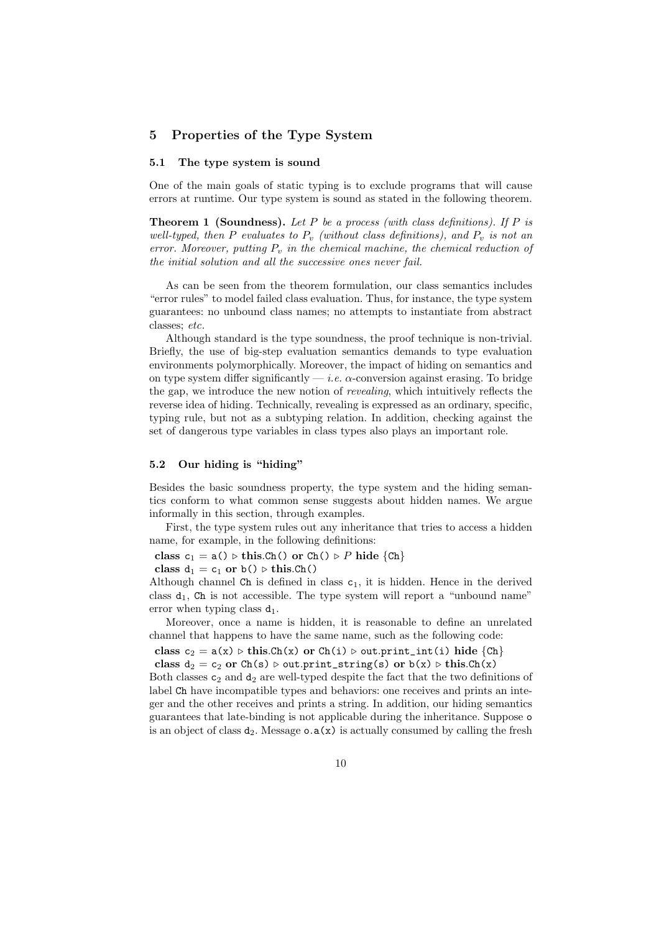# 5 Properties of the Type System

### 5.1 The type system is sound

One of the main goals of static typing is to exclude programs that will cause errors at runtime. Our type system is sound as stated in the following theorem.

**Theorem 1 (Soundness).** Let P be a process (with class definitions). If P is well-typed, then P evaluates to  $P_v$  (without class definitions), and  $P_v$  is not an error. Moreover, putting  $P_v$  in the chemical machine, the chemical reduction of the initial solution and all the successive ones never fail.

As can be seen from the theorem formulation, our class semantics includes "error rules" to model failed class evaluation. Thus, for instance, the type system guarantees: no unbound class names; no attempts to instantiate from abstract classes; etc.

Although standard is the type soundness, the proof technique is non-trivial. Briefly, the use of big-step evaluation semantics demands to type evaluation environments polymorphically. Moreover, the impact of hiding on semantics and on type system differ significantly  $-i.e.$   $\alpha$ -conversion against erasing. To bridge the gap, we introduce the new notion of revealing, which intuitively reflects the reverse idea of hiding. Technically, revealing is expressed as an ordinary, specific, typing rule, but not as a subtyping relation. In addition, checking against the set of dangerous type variables in class types also plays an important role.

#### 5.2 Our hiding is "hiding"

Besides the basic soundness property, the type system and the hiding semantics conform to what common sense suggests about hidden names. We argue informally in this section, through examples.

First, the type system rules out any inheritance that tries to access a hidden name, for example, in the following definitions:

class  $c_1 = a() \triangleright this.Ch()$  or  $Ch() \triangleright P$  hide  ${Ch}$ 

class  $d_1 = c_1$  or  $b() \triangleright this.Ch()$ 

Although channel Ch is defined in class  $c_1$ , it is hidden. Hence in the derived class  $d_1$ , Ch is not accessible. The type system will report a "unbound name" error when typing class  $d_1$ .

Moreover, once a name is hidden, it is reasonable to define an unrelated channel that happens to have the same name, such as the following code:

class  $c_2 = a(x) \triangleright \text{this}.\text{Ch}(x) \text{ or } \text{Ch}(i) \triangleright \text{out}.\text{print}\text{int}(i) \text{ hide } \{Ch\}$ 

class  $d_2 = c_2$  or  $Ch(s) \triangleright out.print\_string(s)$  or  $b(x) \triangleright this-Ch(x)$ .

Both classes  $c_2$  and  $d_2$  are well-typed despite the fact that the two definitions of label Ch have incompatible types and behaviors: one receives and prints an integer and the other receives and prints a string. In addition, our hiding semantics guarantees that late-binding is not applicable during the inheritance. Suppose o is an object of class  $d_2$ . Message  $\circ a(x)$  is actually consumed by calling the fresh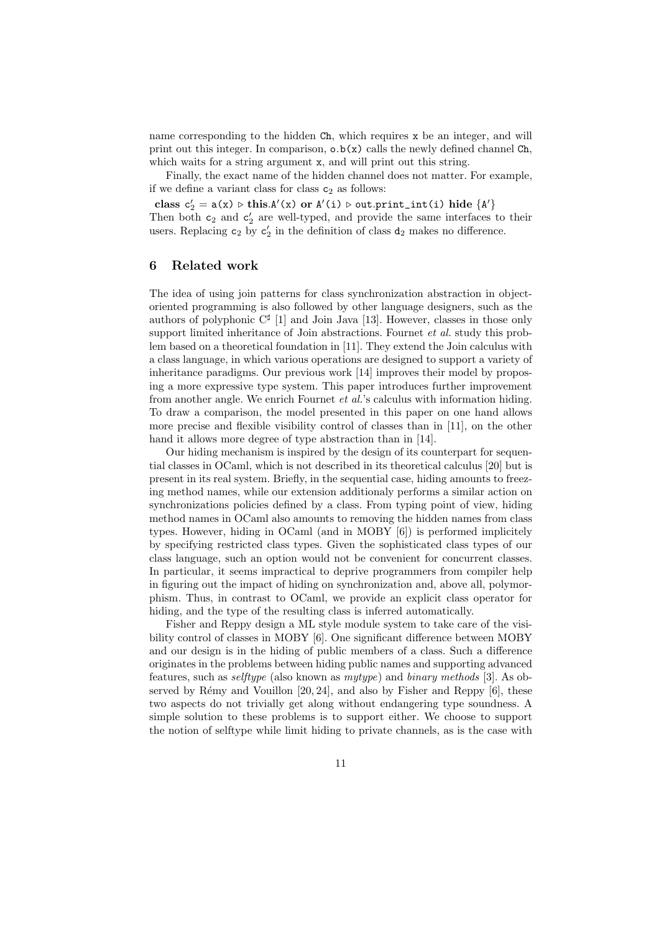name corresponding to the hidden Ch, which requires x be an integer, and will print out this integer. In comparison,  $\circ \cdot b(x)$  calls the newly defined channel Ch. which waits for a string argument x, and will print out this string.

Finally, the exact name of the hidden channel does not matter. For example, if we define a variant class for class  $c_2$  as follows:

 $\text{class } c'_2 = a(x) \triangleright \text{this}.A'(x) \text{ or } A'(i) \triangleright \text{out.print\_int}(i) \text{ hide } \{A'\}$ 

Then both  $c_2$  and  $c'_2$  are well-typed, and provide the same interfaces to their users. Replacing  $c_2$  by  $c'_2$  in the definition of class  $d_2$  makes no difference.

# 6 Related work

The idea of using join patterns for class synchronization abstraction in objectoriented programming is also followed by other language designers, such as the authors of polyphonic  $C^{\sharp}$  [1] and Join Java [13]. However, classes in those only support limited inheritance of Join abstractions. Fournet et al. study this problem based on a theoretical foundation in [11]. They extend the Join calculus with a class language, in which various operations are designed to support a variety of inheritance paradigms. Our previous work [14] improves their model by proposing a more expressive type system. This paper introduces further improvement from another angle. We enrich Fournet et al.'s calculus with information hiding. To draw a comparison, the model presented in this paper on one hand allows more precise and flexible visibility control of classes than in [11], on the other hand it allows more degree of type abstraction than in [14].

Our hiding mechanism is inspired by the design of its counterpart for sequential classes in OCaml, which is not described in its theoretical calculus [20] but is present in its real system. Briefly, in the sequential case, hiding amounts to freezing method names, while our extension additionaly performs a similar action on synchronizations policies defined by a class. From typing point of view, hiding method names in OCaml also amounts to removing the hidden names from class types. However, hiding in OCaml (and in MOBY [6]) is performed implicitely by specifying restricted class types. Given the sophisticated class types of our class language, such an option would not be convenient for concurrent classes. In particular, it seems impractical to deprive programmers from compiler help in figuring out the impact of hiding on synchronization and, above all, polymorphism. Thus, in contrast to OCaml, we provide an explicit class operator for hiding, and the type of the resulting class is inferred automatically.

Fisher and Reppy design a ML style module system to take care of the visibility control of classes in MOBY [6]. One significant difference between MOBY and our design is in the hiding of public members of a class. Such a difference originates in the problems between hiding public names and supporting advanced features, such as selftype (also known as mytype) and binary methods [3]. As observed by Rémy and Vouillon  $[20, 24]$ , and also by Fisher and Reppy  $[6]$ , these two aspects do not trivially get along without endangering type soundness. A simple solution to these problems is to support either. We choose to support the notion of selftype while limit hiding to private channels, as is the case with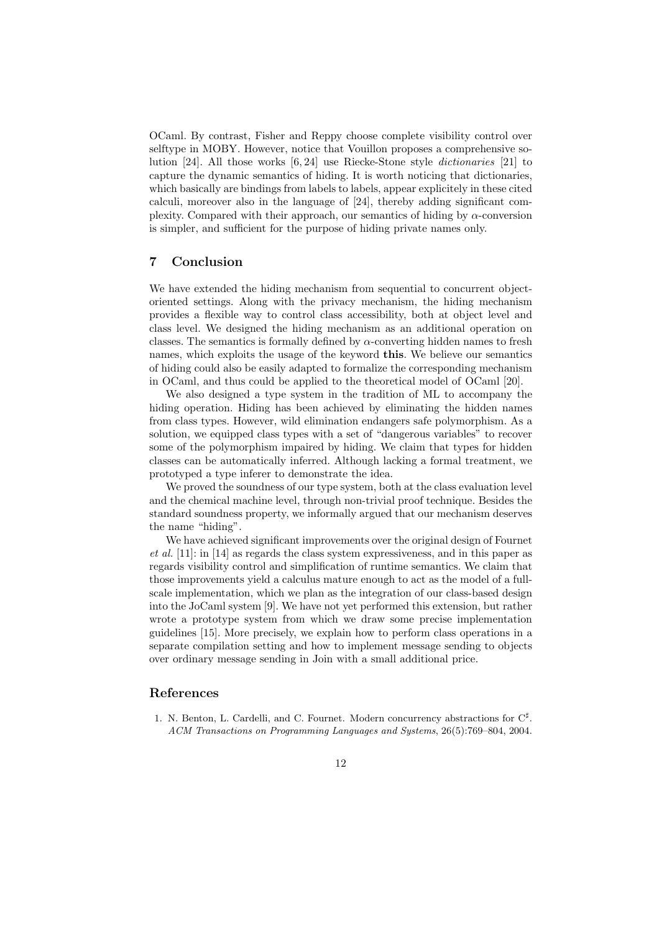OCaml. By contrast, Fisher and Reppy choose complete visibility control over selftype in MOBY. However, notice that Vouillon proposes a comprehensive solution [24]. All those works [6, 24] use Riecke-Stone style dictionaries [21] to capture the dynamic semantics of hiding. It is worth noticing that dictionaries, which basically are bindings from labels to labels, appear explicitely in these cited calculi, moreover also in the language of [24], thereby adding significant complexity. Compared with their approach, our semantics of hiding by  $\alpha$ -conversion is simpler, and sufficient for the purpose of hiding private names only.

# 7 Conclusion

We have extended the hiding mechanism from sequential to concurrent objectoriented settings. Along with the privacy mechanism, the hiding mechanism provides a flexible way to control class accessibility, both at object level and class level. We designed the hiding mechanism as an additional operation on classes. The semantics is formally defined by  $\alpha$ -converting hidden names to fresh names, which exploits the usage of the keyword this. We believe our semantics of hiding could also be easily adapted to formalize the corresponding mechanism in OCaml, and thus could be applied to the theoretical model of OCaml [20].

We also designed a type system in the tradition of ML to accompany the hiding operation. Hiding has been achieved by eliminating the hidden names from class types. However, wild elimination endangers safe polymorphism. As a solution, we equipped class types with a set of "dangerous variables" to recover some of the polymorphism impaired by hiding. We claim that types for hidden classes can be automatically inferred. Although lacking a formal treatment, we prototyped a type inferer to demonstrate the idea.

We proved the soundness of our type system, both at the class evaluation level and the chemical machine level, through non-trivial proof technique. Besides the standard soundness property, we informally argued that our mechanism deserves the name "hiding".

We have achieved significant improvements over the original design of Fournet et al. [11]: in [14] as regards the class system expressiveness, and in this paper as regards visibility control and simplification of runtime semantics. We claim that those improvements yield a calculus mature enough to act as the model of a fullscale implementation, which we plan as the integration of our class-based design into the JoCaml system [9]. We have not yet performed this extension, but rather wrote a prototype system from which we draw some precise implementation guidelines [15]. More precisely, we explain how to perform class operations in a separate compilation setting and how to implement message sending to objects over ordinary message sending in Join with a small additional price.

### References

1. N. Benton, L. Cardelli, and C. Fournet. Modern concurrency abstractions for  $C^{\sharp}$ . ACM Transactions on Programming Languages and Systems, 26(5):769–804, 2004.